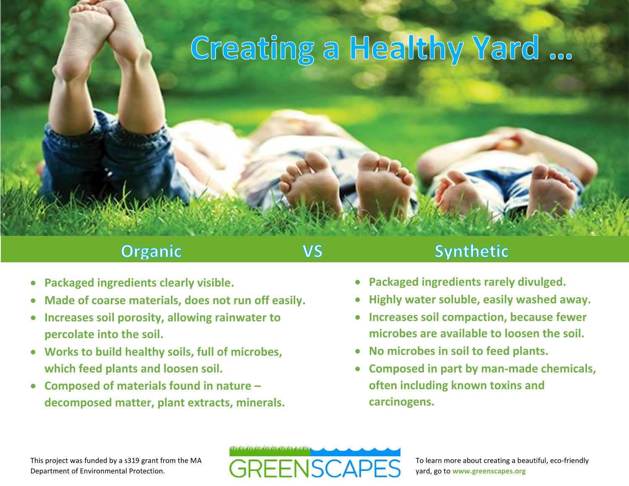# Creating a Healthy Yard ...

## **Organic**

## **VS**

## **Synthetic**

- **Packaged ingredients clearly visible.**
- **Made of coarse materials, does not run off easily.**
- **Increases soil porosity, allowing rainwater to percolate into the soil.**
- **Works to build healthy soils, full of microbes, which feed plants and loosen soil.**
- **Composed of materials found in nature – decomposed matter, plant extracts, minerals.**
- **Packaged ingredients rarely divulged.**
- **Highly water soluble, easily washed away.**
- **Increases soil compaction, because fewer microbes are available to loosen the soil.**
- **No microbes in soil to feed plants.**
- **Composed in part by man-made chemicals, often including known toxins and carcinogens.**



This project was funded by a s319 grant from the MA Department of Environmental Protection.

To learn more about creating a beautiful, eco-friendly yard, go to **www.greenscapes.org**